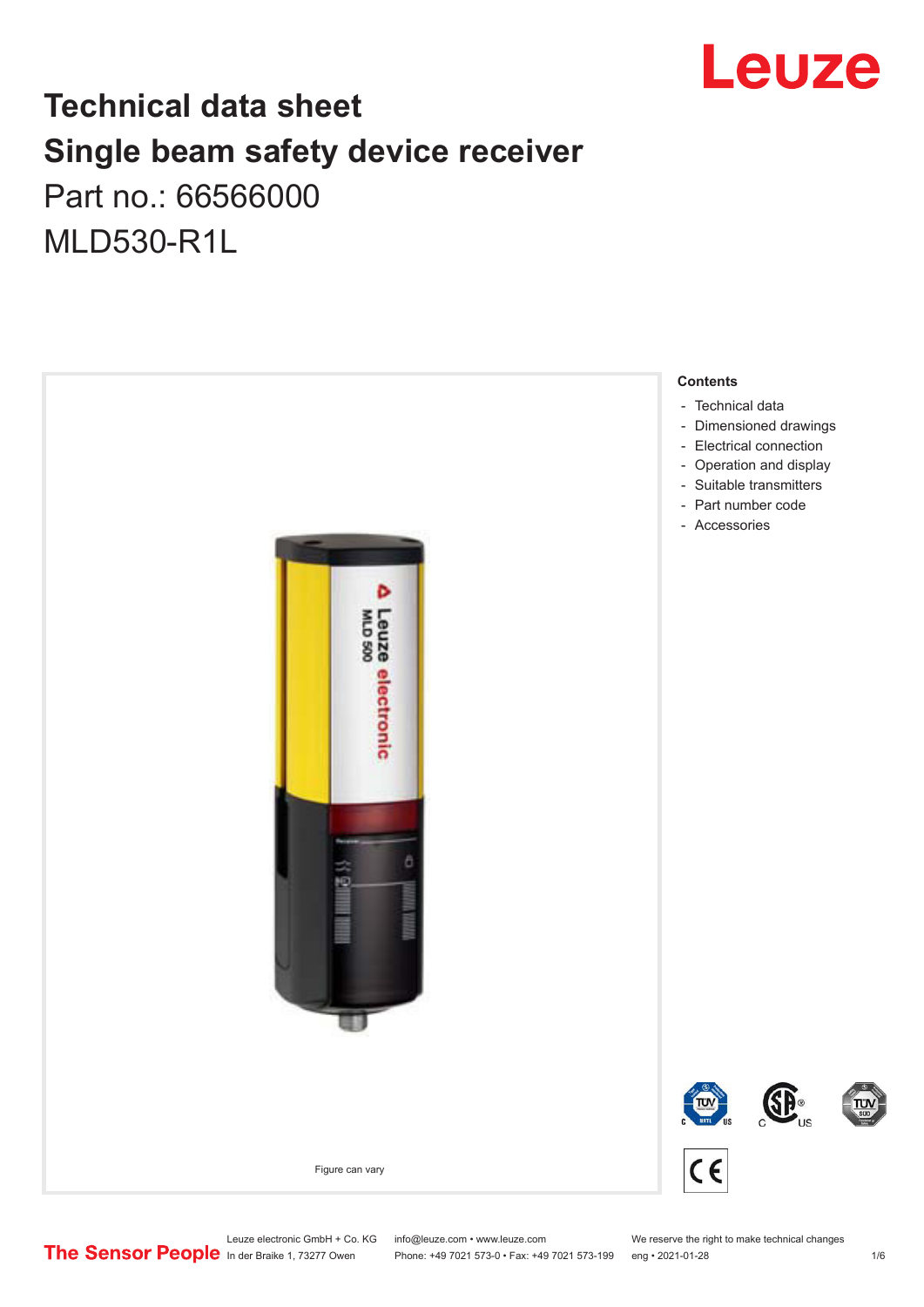

## **Technical data sheet Single beam safety device receiver** Part no.: 66566000

MLD530-R1L



Leuze electronic GmbH + Co. KG info@leuze.com • www.leuze.com We reserve the right to make technical changes<br>
The Sensor People in der Braike 1, 73277 Owen Phone: +49 7021 573-0 • Fax: +49 7021 573-199 eng • 2021-01-28

Phone: +49 7021 573-0 • Fax: +49 7021 573-199 eng • 2021-01-28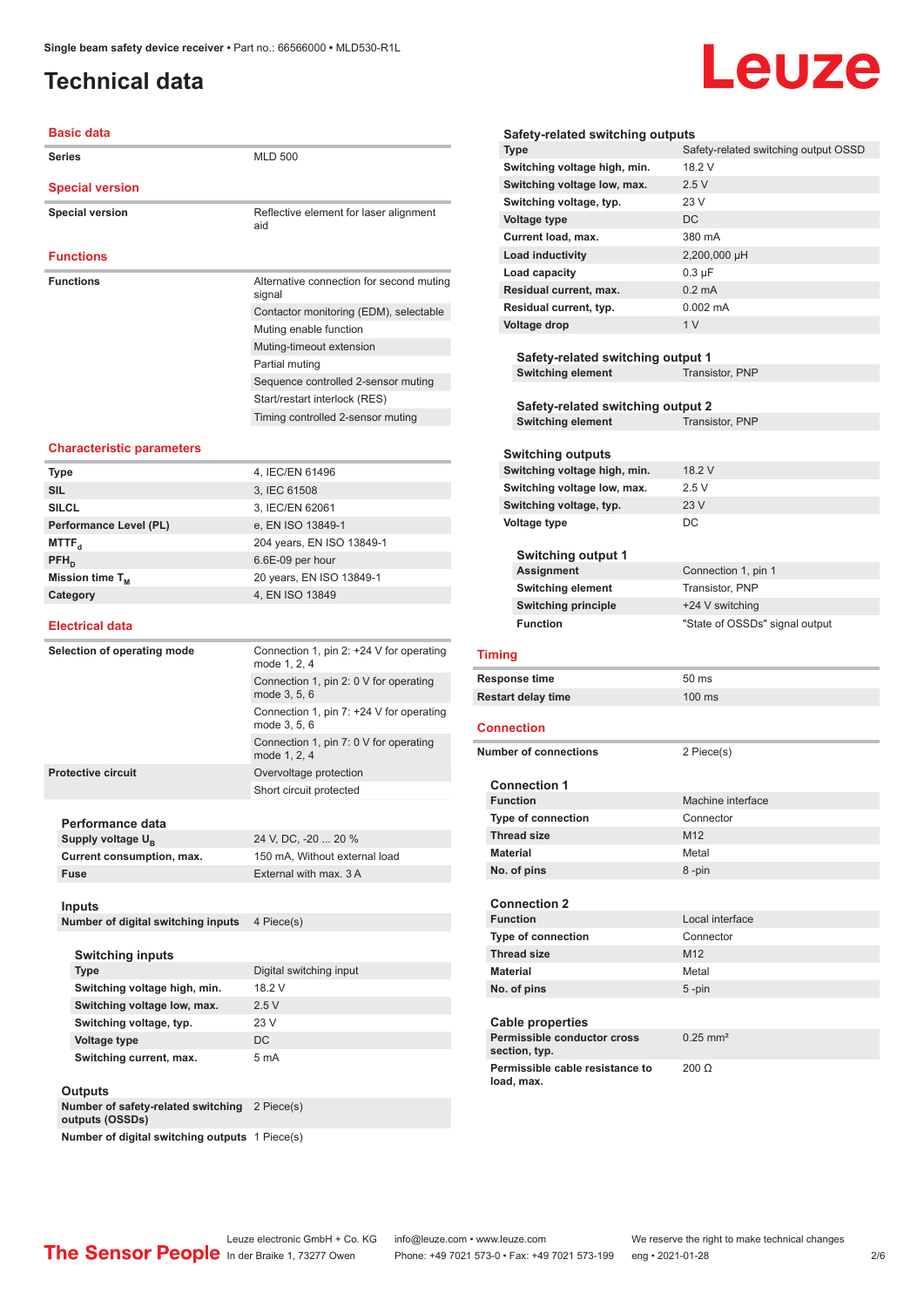## <span id="page-1-0"></span>**Technical data**

#### **Basic data**

| <b>Series</b>          | <b>MLD 500</b>                                     |
|------------------------|----------------------------------------------------|
| <b>Special version</b> |                                                    |
| <b>Special version</b> | Reflective element for laser alignment<br>aid      |
| <b>Functions</b>       |                                                    |
| <b>Functions</b>       | Alternative connection for second muting<br>signal |
|                        | Contactor monitoring (EDM), selectable             |
|                        | Muting enable function                             |
|                        | Muting-timeout extension                           |
|                        | Partial muting                                     |
|                        | Sequence controlled 2-sensor muting                |
|                        | Start/restart interlock (RES)                      |
|                        | Timing controlled 2-sensor muting                  |
|                        |                                                    |

#### **Characteristic parameters**

| <b>Type</b>            | 4, IEC/EN 61496           |
|------------------------|---------------------------|
| <b>SIL</b>             | 3, IEC 61508              |
| <b>SILCL</b>           | 3, IEC/EN 62061           |
| Performance Level (PL) | e, EN ISO 13849-1         |
| MTTF <sub>a</sub>      | 204 years, EN ISO 13849-1 |
| $PFH_{n}$              | 6.6E-09 per hour          |
| Mission time $T_{M}$   | 20 years, EN ISO 13849-1  |
| Category               | 4, EN ISO 13849           |
|                        |                           |

#### **Electrical data**

| Selection of operating mode        | Connection 1, pin 2: $+24$ V for operating<br>mode 1, 2, 4 |
|------------------------------------|------------------------------------------------------------|
|                                    | Connection 1, pin 2: 0 V for operating<br>mode 3, 5, 6     |
|                                    | Connection 1, pin 7: +24 V for operating<br>mode 3, 5, 6   |
|                                    | Connection 1, pin 7: 0 V for operating<br>mode 1, 2, 4     |
| <b>Protective circuit</b>          | Overvoltage protection                                     |
|                                    | Short circuit protected                                    |
|                                    |                                                            |
| Performance data                   |                                                            |
| Supply voltage U <sub>B</sub>      | 24 V, DC, -20  20 %                                        |
| Current consumption, max.          | 150 mA, Without external load                              |
| <b>Fuse</b>                        | External with max. 3 A                                     |
|                                    |                                                            |
| <b>Inputs</b>                      |                                                            |
| Number of digital switching inputs | 4 Piece(s)                                                 |
|                                    |                                                            |
| <b>Switching inputs</b>            |                                                            |
| <b>Type</b>                        | Digital switching input                                    |
| Switching voltage high, min.       | 18 2 V                                                     |
| Switching voltage low, max.        | 2.5V                                                       |
| Switching voltage, typ.            | 23 V                                                       |
| <b>Voltage type</b>                | <b>DC</b>                                                  |
| Switching current, max.            | 5 <sub>m</sub> A                                           |
| ∩utnute                            |                                                            |

| <b>Outputs</b>                                        |            |
|-------------------------------------------------------|------------|
| Number of safety-related switching<br>outputs (OSSDs) | 2 Piece(s) |
| Number of digital switching outputs 1 Piece(s)        |            |

## Leuze

| Safety-related switching output OSSD<br><b>Type</b><br>Switching voltage high, min.<br>18.2 V<br>2.5V<br>Switching voltage low, max.<br>23 V<br>Switching voltage, typ. |  |
|-------------------------------------------------------------------------------------------------------------------------------------------------------------------------|--|
|                                                                                                                                                                         |  |
|                                                                                                                                                                         |  |
|                                                                                                                                                                         |  |
|                                                                                                                                                                         |  |
| DC<br><b>Voltage type</b>                                                                                                                                               |  |
| 380 mA<br>Current load, max.                                                                                                                                            |  |
| <b>Load inductivity</b><br>2,200,000 µH                                                                                                                                 |  |
| Load capacity<br>$0.3 \mu F$                                                                                                                                            |  |
| Residual current, max.<br>$0.2 \text{ mA}$                                                                                                                              |  |
| $0.002 \, \text{mA}$<br>Residual current, typ.                                                                                                                          |  |
| 1 <sub>V</sub><br><b>Voltage drop</b>                                                                                                                                   |  |
|                                                                                                                                                                         |  |
| Safety-related switching output 1                                                                                                                                       |  |
| <b>Switching element</b><br>Transistor, PNP                                                                                                                             |  |
|                                                                                                                                                                         |  |
| Safety-related switching output 2                                                                                                                                       |  |
| <b>Switching element</b><br>Transistor, PNP                                                                                                                             |  |
|                                                                                                                                                                         |  |
| Switching outputs                                                                                                                                                       |  |
| 18.2 V<br>Switching voltage high, min.                                                                                                                                  |  |
| 2.5V<br>Switching voltage low, max.                                                                                                                                     |  |
| 23V<br>Switching voltage, typ.                                                                                                                                          |  |
| DC<br><b>Voltage type</b>                                                                                                                                               |  |
|                                                                                                                                                                         |  |
| <b>Switching output 1</b>                                                                                                                                               |  |
| Assignment<br>Connection 1, pin 1                                                                                                                                       |  |
| <b>Switching element</b><br>Transistor, PNP                                                                                                                             |  |
| <b>Switching principle</b><br>+24 V switching<br><b>Function</b>                                                                                                        |  |
| "State of OSSDs" signal output                                                                                                                                          |  |
| <b>Timing</b>                                                                                                                                                           |  |
| <b>Response time</b><br>50 ms                                                                                                                                           |  |
| 100 ms<br><b>Restart delay time</b>                                                                                                                                     |  |
|                                                                                                                                                                         |  |
| <b>Connection</b>                                                                                                                                                       |  |
|                                                                                                                                                                         |  |
| <b>Number of connections</b><br>2 Piece(s)                                                                                                                              |  |
| <b>Connection 1</b>                                                                                                                                                     |  |
| <b>Function</b><br>Machine interface                                                                                                                                    |  |
| Type of connection<br>Connector                                                                                                                                         |  |
| M12<br><b>Thread size</b>                                                                                                                                               |  |
| <b>Material</b><br>Metal                                                                                                                                                |  |
| No. of pins<br>8-pin                                                                                                                                                    |  |
|                                                                                                                                                                         |  |
| <b>Connection 2</b>                                                                                                                                                     |  |
|                                                                                                                                                                         |  |
| <b>Function</b><br>Local interface                                                                                                                                      |  |
| <b>Type of connection</b><br>Connector                                                                                                                                  |  |
| <b>Thread size</b><br>M <sub>12</sub>                                                                                                                                   |  |
| <b>Material</b><br>Metal                                                                                                                                                |  |
|                                                                                                                                                                         |  |
| No. of pins<br>$5 - pin$                                                                                                                                                |  |
| <b>Cable properties</b>                                                                                                                                                 |  |
| Permissible conductor cross<br>$0.25$ mm <sup>2</sup><br>section, typ.                                                                                                  |  |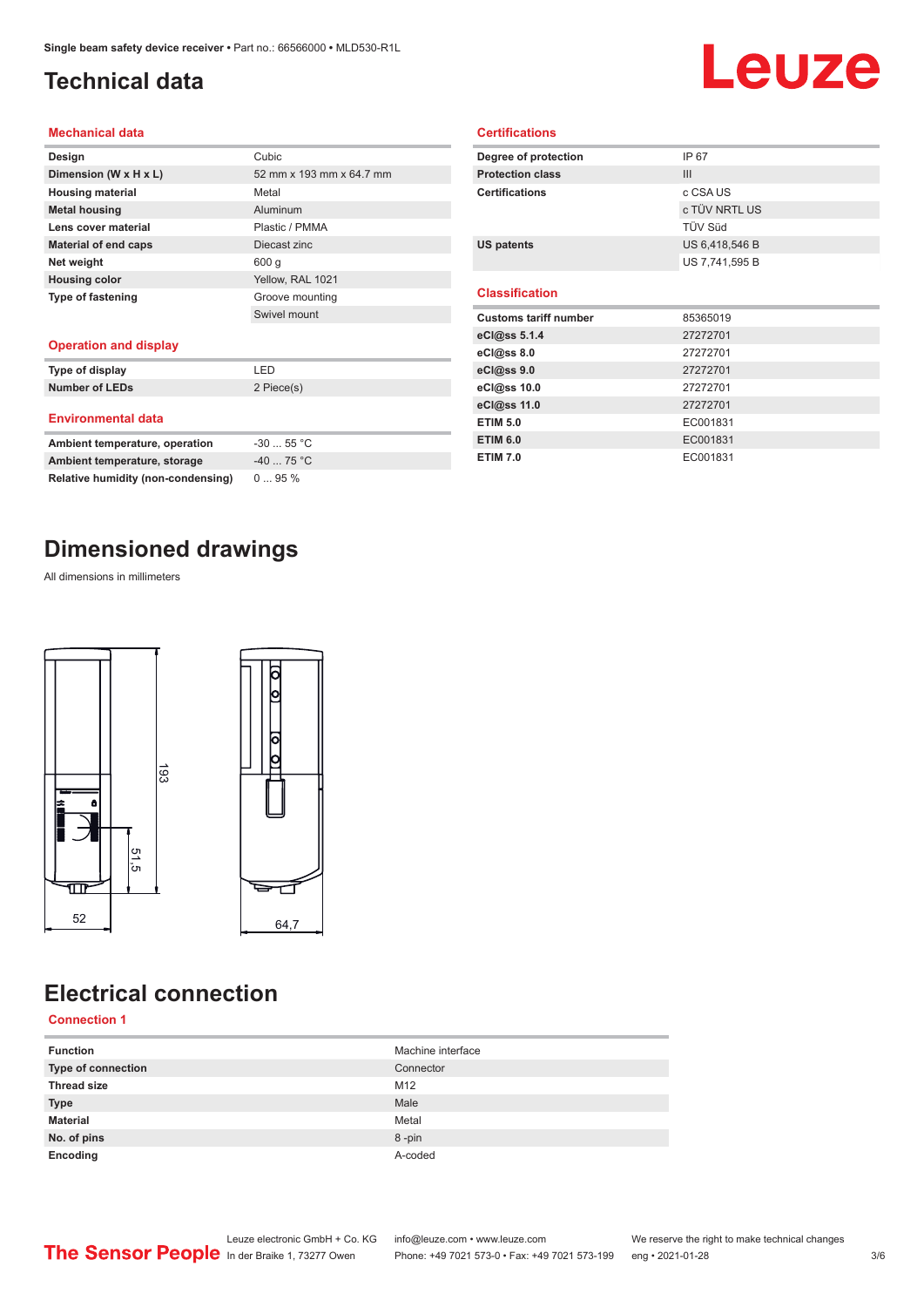## <span id="page-2-0"></span>**Technical data**

# Leuze

#### **Mechanical data**

| Design                      | Cubic                    |
|-----------------------------|--------------------------|
| Dimension (W x H x L)       | 52 mm x 193 mm x 64.7 mm |
| <b>Housing material</b>     | Metal                    |
| <b>Metal housing</b>        | Aluminum                 |
| Lens cover material         | Plastic / PMMA           |
| <b>Material of end caps</b> | Diecast zinc             |
| Net weight                  | 600q                     |
| <b>Housing color</b>        | Yellow, RAL 1021         |
| <b>Type of fastening</b>    | Groove mounting          |
|                             | Swivel mount             |
|                             |                          |

#### **Operation and display**

| Type of display               | I FD               |
|-------------------------------|--------------------|
| Number of LEDs                | 2 Piece(s)         |
| <b>Environmental data</b>     |                    |
| Ambiant tamparatura aparatian | EE °C<br><b>20</b> |

| Ambient temperature, operation     | $-3055$ °C |
|------------------------------------|------------|
| Ambient temperature, storage       | $-4075 °C$ |
| Relative humidity (non-condensing) | $095\%$    |

### **Dimensioned drawings**

All dimensions in millimeters



## **Electrical connection**

#### **Connection 1**

| <b>Function</b>    | Machine interface |
|--------------------|-------------------|
| Type of connection | Connector         |
| <b>Thread size</b> | M12               |
| <b>Type</b>        | Male              |
| <b>Material</b>    | Metal             |
| No. of pins        | 8-pin             |
| Encoding           | A-coded           |

| Degree of protection         | IP 67          |  |
|------------------------------|----------------|--|
| <b>Protection class</b>      | III            |  |
| <b>Certifications</b>        | c CSA US       |  |
|                              | c TÜV NRTL US  |  |
|                              | TÜV Süd        |  |
| <b>US patents</b>            | US 6,418,546 B |  |
|                              | US 7,741,595 B |  |
| <b>Classification</b>        |                |  |
| <b>Customs tariff number</b> | 85365019       |  |
| eCl@ss 5.1.4                 | 27272701       |  |
| eCl@ss 8.0                   | 27272701       |  |
|                              |                |  |
| eCl@ss 9.0                   | 27272701       |  |
| eCl@ss 10.0                  | 27272701       |  |
| eCl@ss 11.0                  | 27272701       |  |
| <b>ETIM 5.0</b>              | EC001831       |  |
| <b>ETIM 6.0</b>              | EC001831       |  |

**Certifications**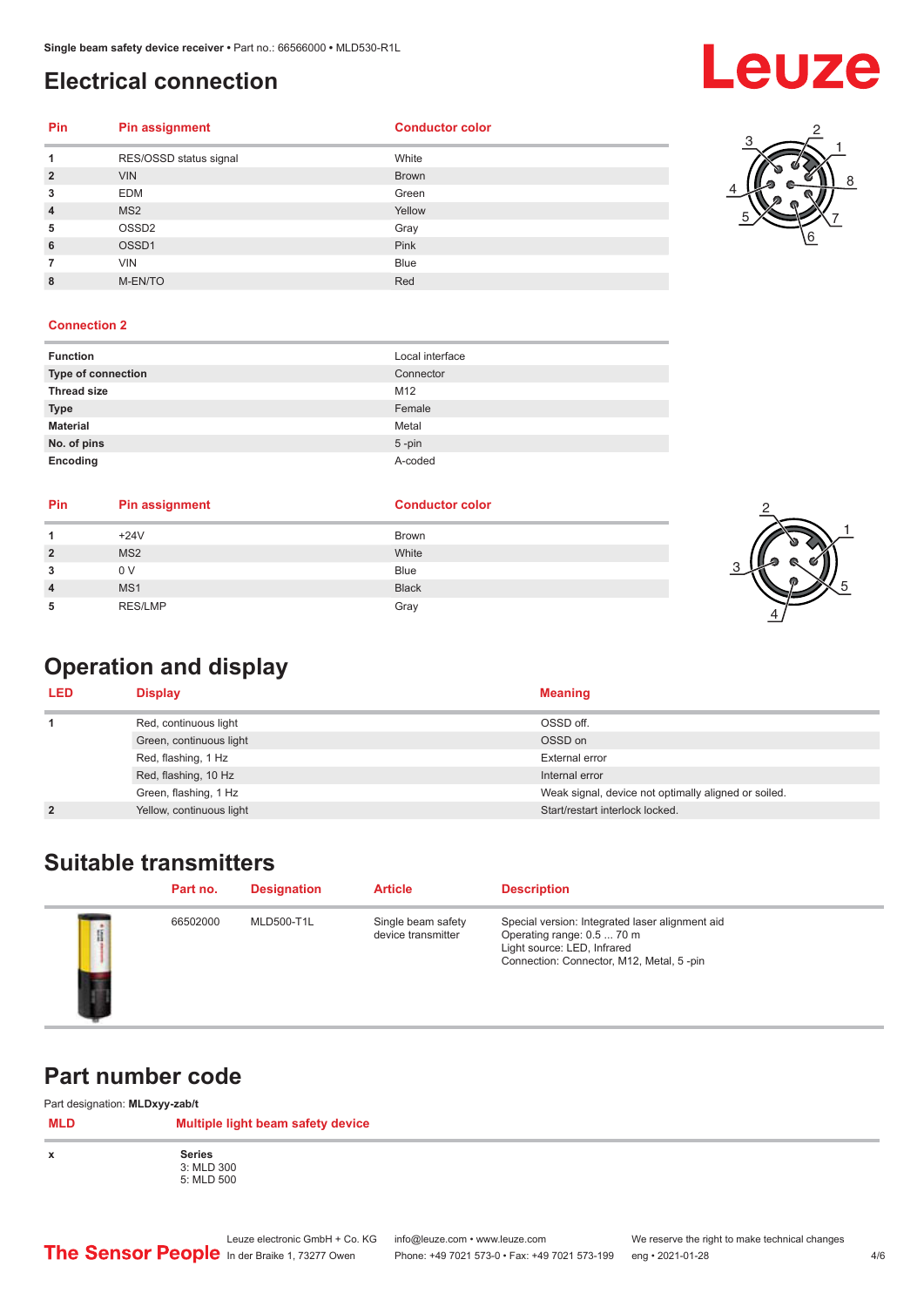### <span id="page-3-0"></span>**Electrical connection**

## **Leuze**

#### **Pin Pin assignment Conductor Conductor Color**

|                | RES/OSSD status signal | White        |
|----------------|------------------------|--------------|
| $\overline{2}$ | <b>VIN</b>             | <b>Brown</b> |
| 3              | <b>EDM</b>             | Green        |
| $\overline{4}$ | MS <sub>2</sub>        | Yellow       |
| 5              | OSSD <sub>2</sub>      | Gray         |
| 6              | OSSD1                  | Pink         |
|                | <b>VIN</b>             | <b>Blue</b>  |
| 8              | M-EN/TO                | Red          |



#### **Connection 2**

| <b>Function</b>    | Local interface |
|--------------------|-----------------|
| Type of connection | Connector       |
| <b>Thread size</b> | M12             |
| <b>Type</b>        | Female          |
| <b>Material</b>    | Metal           |
| No. of pins        | $5$ -pin        |
| Encoding           | A-coded         |

| Pin            | <b>Pin assignment</b> | <b>Conductor color</b> |
|----------------|-----------------------|------------------------|
|                | $+24V$                | <b>Brown</b>           |
| $\overline{2}$ | MS <sub>2</sub>       | White                  |
|                | 0 V                   | <b>Blue</b>            |
| 4              | MS <sub>1</sub>       | <b>Black</b>           |
|                | <b>RES/LMP</b>        | Gray                   |



## **Operation and display**

| <b>LED</b>     | <b>Display</b>           | <b>Meaning</b>                                       |
|----------------|--------------------------|------------------------------------------------------|
|                | Red, continuous light    | OSSD off.                                            |
|                | Green, continuous light  | OSSD on                                              |
|                | Red, flashing, 1 Hz      | External error                                       |
|                | Red, flashing, 10 Hz     | Internal error                                       |
|                | Green, flashing, 1 Hz    | Weak signal, device not optimally aligned or soiled. |
| $\overline{2}$ | Yellow, continuous light | Start/restart interlock locked.                      |

### **Suitable transmitters**

|   | Part no. | <b>Designation</b> | <b>Article</b>                           | <b>Description</b>                                                                                                                                       |
|---|----------|--------------------|------------------------------------------|----------------------------------------------------------------------------------------------------------------------------------------------------------|
| j | 66502000 | <b>MLD500-T1L</b>  | Single beam safety<br>device transmitter | Special version: Integrated laser alignment aid<br>Operating range: 0.5  70 m<br>Light source: LED, Infrared<br>Connection: Connector, M12, Metal, 5-pin |

#### **Part number code**

Part designation: **MLDxyy-zab/t**

| <b>MLD</b> | .<br>.<br>Multiple light beam safety device |
|------------|---------------------------------------------|
| X          | <b>Series</b><br>3: MLD 300<br>5: MLD 500   |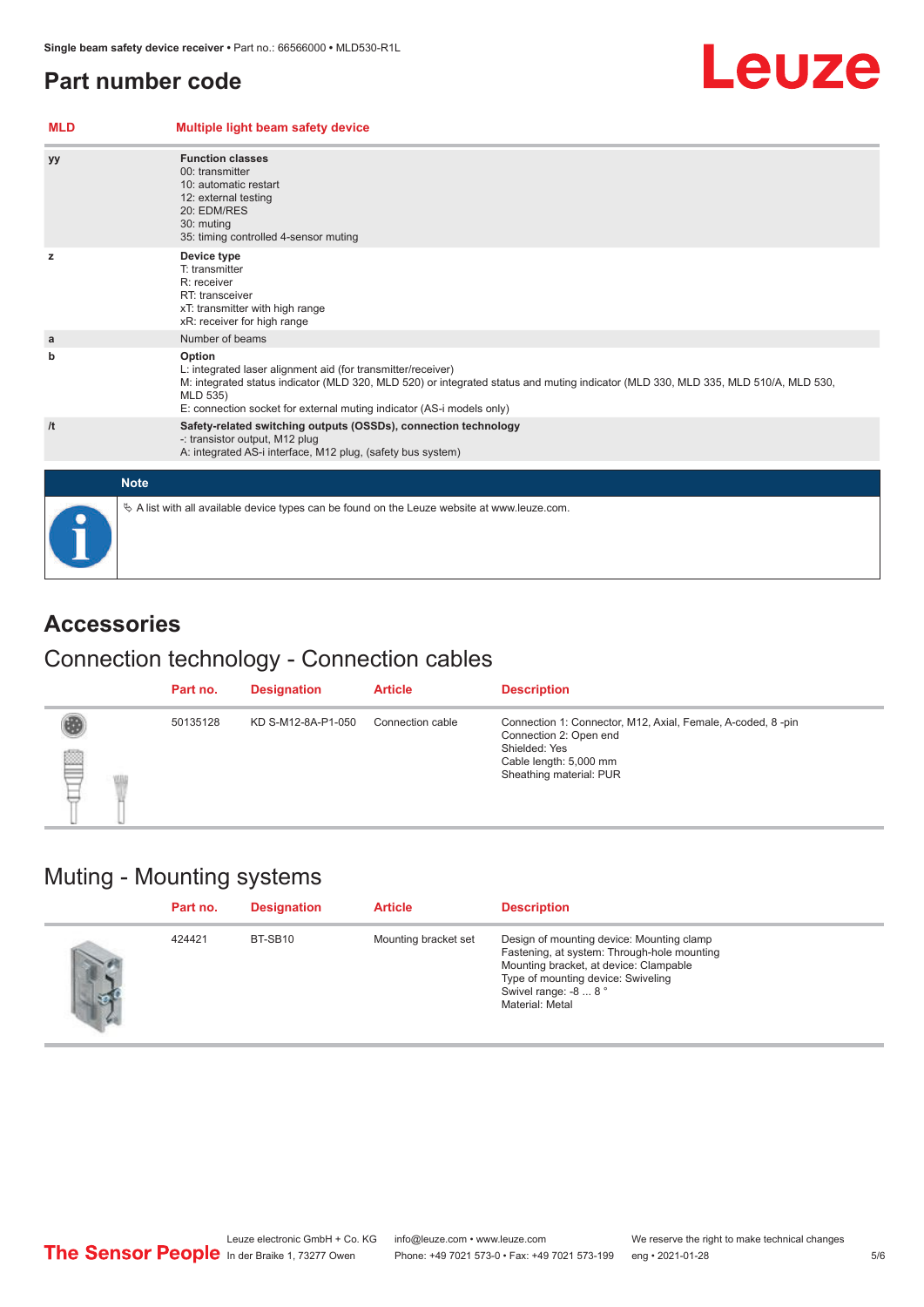#### <span id="page-4-0"></span>**Part number code**

#### **MLD Multiple light beam safety device yy Function classes** 00: transmitter 10: automatic restart 12: external testing 20: EDM/RES 30: muting 35: timing controlled 4-sensor muting **z Device type** T: transmitter R: receiver RT: transceiver xT: transmitter with high range xR: receiver for high range **a a** Number of beams **b Option** L: integrated laser alignment aid (for transmitter/receiver) M: integrated status indicator (MLD 320, MLD 520) or integrated status and muting indicator (MLD 330, MLD 335, MLD 510/A, MLD 530, MLD 535) E: connection socket for external muting indicator (AS-i models only) **/t Safety-related switching outputs (OSSDs), connection technology** -: transistor output, M12 plug A: integrated AS-i interface, M12 plug, (safety bus system) **Note**  $\%$  A list with all available device types can be found on the Leuze website at www.leuze.com.

### **Accessories**

#### Connection technology - Connection cables

|    | Part no. | <b>Designation</b> | <b>Article</b>   | <b>Description</b>                                                                                                                                          |
|----|----------|--------------------|------------------|-------------------------------------------------------------------------------------------------------------------------------------------------------------|
| qq | 50135128 | KD S-M12-8A-P1-050 | Connection cable | Connection 1: Connector, M12, Axial, Female, A-coded, 8-pin<br>Connection 2: Open end<br>Shielded: Yes<br>Cable length: 5,000 mm<br>Sheathing material: PUR |

#### Muting - Mounting systems

| Part no. | <b>Designation</b> | <b>Article</b>       | <b>Description</b>                                                                                                                                                                                                  |
|----------|--------------------|----------------------|---------------------------------------------------------------------------------------------------------------------------------------------------------------------------------------------------------------------|
| 424421   | BT-SB10            | Mounting bracket set | Design of mounting device: Mounting clamp<br>Fastening, at system: Through-hole mounting<br>Mounting bracket, at device: Clampable<br>Type of mounting device: Swiveling<br>Swivel range: -8  8°<br>Material: Metal |

Leuze